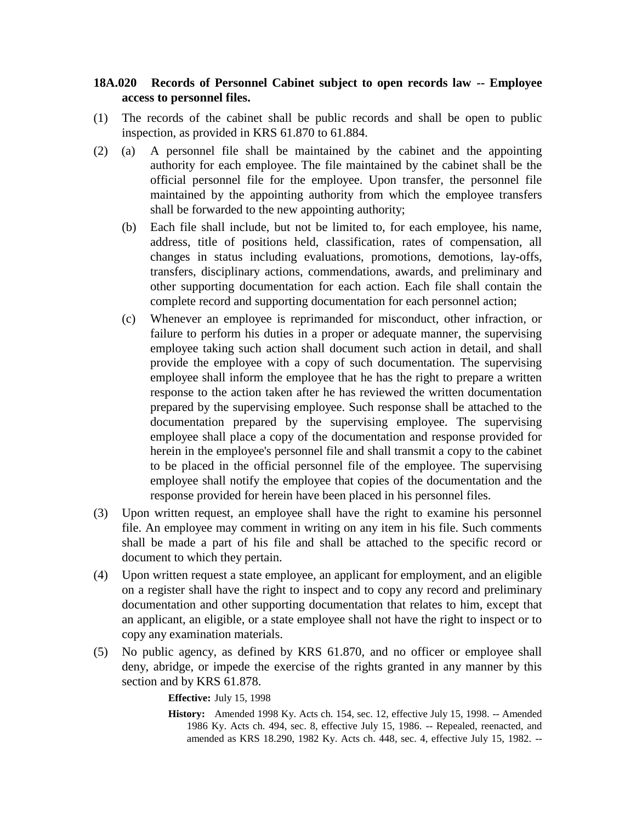## **18A.020 Records of Personnel Cabinet subject to open records law -- Employee access to personnel files.**

- (1) The records of the cabinet shall be public records and shall be open to public inspection, as provided in KRS 61.870 to 61.884.
- (2) (a) A personnel file shall be maintained by the cabinet and the appointing authority for each employee. The file maintained by the cabinet shall be the official personnel file for the employee. Upon transfer, the personnel file maintained by the appointing authority from which the employee transfers shall be forwarded to the new appointing authority;
	- (b) Each file shall include, but not be limited to, for each employee, his name, address, title of positions held, classification, rates of compensation, all changes in status including evaluations, promotions, demotions, lay-offs, transfers, disciplinary actions, commendations, awards, and preliminary and other supporting documentation for each action. Each file shall contain the complete record and supporting documentation for each personnel action;
	- (c) Whenever an employee is reprimanded for misconduct, other infraction, or failure to perform his duties in a proper or adequate manner, the supervising employee taking such action shall document such action in detail, and shall provide the employee with a copy of such documentation. The supervising employee shall inform the employee that he has the right to prepare a written response to the action taken after he has reviewed the written documentation prepared by the supervising employee. Such response shall be attached to the documentation prepared by the supervising employee. The supervising employee shall place a copy of the documentation and response provided for herein in the employee's personnel file and shall transmit a copy to the cabinet to be placed in the official personnel file of the employee. The supervising employee shall notify the employee that copies of the documentation and the response provided for herein have been placed in his personnel files.
- (3) Upon written request, an employee shall have the right to examine his personnel file. An employee may comment in writing on any item in his file. Such comments shall be made a part of his file and shall be attached to the specific record or document to which they pertain.
- (4) Upon written request a state employee, an applicant for employment, and an eligible on a register shall have the right to inspect and to copy any record and preliminary documentation and other supporting documentation that relates to him, except that an applicant, an eligible, or a state employee shall not have the right to inspect or to copy any examination materials.
- (5) No public agency, as defined by KRS 61.870, and no officer or employee shall deny, abridge, or impede the exercise of the rights granted in any manner by this section and by KRS 61.878.

**Effective:** July 15, 1998

**History:** Amended 1998 Ky. Acts ch. 154, sec. 12, effective July 15, 1998. -- Amended 1986 Ky. Acts ch. 494, sec. 8, effective July 15, 1986. -- Repealed, reenacted, and amended as KRS 18.290, 1982 Ky. Acts ch. 448, sec. 4, effective July 15, 1982. --